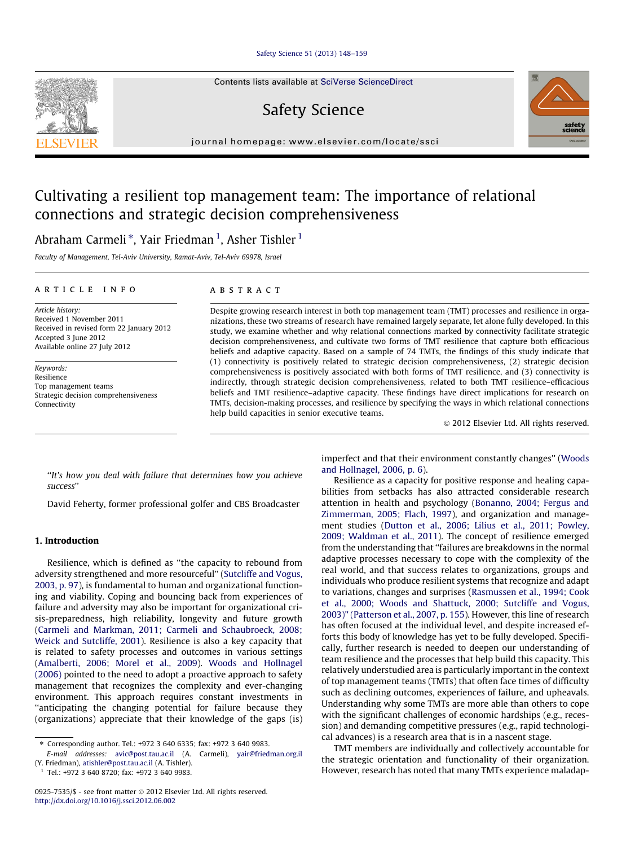#### [Safety Science 51 \(2013\) 148–159](http://dx.doi.org/10.1016/j.ssci.2012.06.002)

Contents lists available at [SciVerse ScienceDirect](http://www.sciencedirect.com/science/journal/09257535)

# Safety Science

journal homepage: [www.elsevier.com/locate/ssci](http://www.elsevier.com/locate/ssci)

## Cultivating a resilient top management team: The importance of relational connections and strategic decision comprehensiveness

Abraham Carmeli  $^\ast$ , Yair Friedman  $^1$ , Asher Tishler  $^1$ 

Faculty of Management, Tel-Aviv University, Ramat-Aviv, Tel-Aviv 69978, Israel

#### article info

Article history: Received 1 November 2011 Received in revised form 22 January 2012 Accepted 3 June 2012 Available online 27 July 2012

Keywords: Resilience Top management teams Strategic decision comprehensiveness Connectivity

#### **ABSTRACT**

Despite growing research interest in both top management team (TMT) processes and resilience in organizations, these two streams of research have remained largely separate, let alone fully developed. In this study, we examine whether and why relational connections marked by connectivity facilitate strategic decision comprehensiveness, and cultivate two forms of TMT resilience that capture both efficacious beliefs and adaptive capacity. Based on a sample of 74 TMTs, the findings of this study indicate that (1) connectivity is positively related to strategic decision comprehensiveness, (2) strategic decision comprehensiveness is positively associated with both forms of TMT resilience, and (3) connectivity is indirectly, through strategic decision comprehensiveness, related to both TMT resilience–efficacious beliefs and TMT resilience–adaptive capacity. These findings have direct implications for research on TMTs, decision-making processes, and resilience by specifying the ways in which relational connections help build capacities in senior executive teams.

- 2012 Elsevier Ltd. All rights reserved.

''It's how you deal with failure that determines how you achieve success''

David Feherty, former professional golfer and CBS Broadcaster

### 1. Introduction

Resilience, which is defined as ''the capacity to rebound from adversity strengthened and more resourceful'' [\(Sutcliffe and Vogus,](#page--1-0) [2003, p. 97\)](#page--1-0), is fundamental to human and organizational functioning and viability. Coping and bouncing back from experiences of failure and adversity may also be important for organizational crisis-preparedness, high reliability, longevity and future growth ([Carmeli and Markman, 2011; Carmeli and Schaubroeck, 2008;](#page--1-0) [Weick and Sutcliffe, 2001](#page--1-0)). Resilience is also a key capacity that is related to safety processes and outcomes in various settings ([Amalberti, 2006; Morel et al., 2009](#page--1-0)). [Woods and Hollnagel](#page--1-0) [\(2006\)](#page--1-0) pointed to the need to adopt a proactive approach to safety management that recognizes the complexity and ever-changing environment. This approach requires constant investments in ''anticipating the changing potential for failure because they (organizations) appreciate that their knowledge of the gaps (is)

⇑ Corresponding author. Tel.: +972 3 640 6335; fax: +972 3 640 9983.

E-mail addresses: [avic@post.tau.ac.il](mailto:avic@post.tau.ac.il) (A. Carmeli), [yair@friedman.org.il](mailto:yair@friedman.org.il                )

(Y. Friedman), [atishler@post.tau.ac.il](mailto:atishler@post.tau.ac.il) (A. Tishler).  $1$  Tel.: +972 3 640 8720; fax: +972 3 640 9983.

imperfect and that their environment constantly changes'' ([Woods](#page--1-0) [and Hollnagel, 2006, p. 6\)](#page--1-0).

Resilience as a capacity for positive response and healing capabilities from setbacks has also attracted considerable research attention in health and psychology ([Bonanno, 2004; Fergus and](#page--1-0) [Zimmerman, 2005; Flach, 1997](#page--1-0)), and organization and management studies ([Dutton et al., 2006; Lilius et al., 2011; Powley,](#page--1-0) [2009; Waldman et al., 2011\)](#page--1-0). The concept of resilience emerged from the understanding that ''failures are breakdowns in the normal adaptive processes necessary to cope with the complexity of the real world, and that success relates to organizations, groups and individuals who produce resilient systems that recognize and adapt to variations, changes and surprises ([Rasmussen et al., 1994; Cook](#page--1-0) [et al., 2000; Woods and Shattuck, 2000; Sutcliffe and Vogus,](#page--1-0) [2003\)" \(Patterson et al., 2007, p. 155\)](#page--1-0). However, this line of research has often focused at the individual level, and despite increased efforts this body of knowledge has yet to be fully developed. Specifically, further research is needed to deepen our understanding of team resilience and the processes that help build this capacity. This relatively understudied area is particularly important in the context of top management teams (TMTs) that often face times of difficulty such as declining outcomes, experiences of failure, and upheavals. Understanding why some TMTs are more able than others to cope with the significant challenges of economic hardships (e.g., recession) and demanding competitive pressures (e.g., rapid technological advances) is a research area that is in a nascent stage.

TMT members are individually and collectively accountable for the strategic orientation and functionality of their organization. However, research has noted that many TMTs experience maladap-





<sup>0925-7535/\$ -</sup> see front matter © 2012 Elsevier Ltd. All rights reserved. <http://dx.doi.org/10.1016/j.ssci.2012.06.002>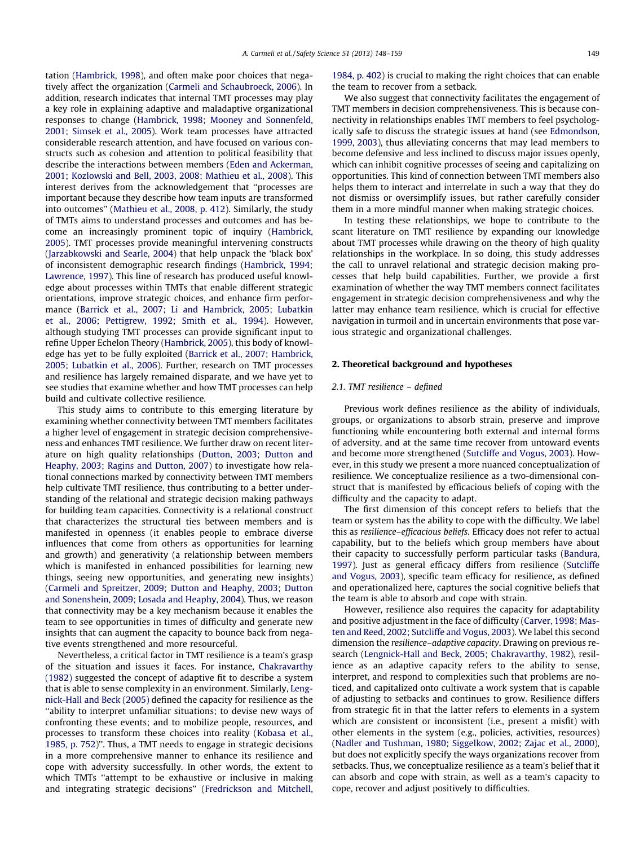tation ([Hambrick, 1998\)](#page--1-0), and often make poor choices that negatively affect the organization [\(Carmeli and Schaubroeck, 2006](#page--1-0)). In addition, research indicates that internal TMT processes may play a key role in explaining adaptive and maladaptive organizational responses to change ([Hambrick, 1998; Mooney and Sonnenfeld,](#page--1-0) [2001; Simsek et al., 2005](#page--1-0)). Work team processes have attracted considerable research attention, and have focused on various constructs such as cohesion and attention to political feasibility that describe the interactions between members ([Eden and Ackerman,](#page--1-0) [2001; Kozlowski and Bell, 2003, 2008; Mathieu et al., 2008](#page--1-0)). This interest derives from the acknowledgement that ''processes are important because they describe how team inputs are transformed into outcomes'' [\(Mathieu et al., 2008, p. 412](#page--1-0)). Similarly, the study of TMTs aims to understand processes and outcomes and has become an increasingly prominent topic of inquiry ([Hambrick,](#page--1-0) [2005](#page--1-0)). TMT processes provide meaningful intervening constructs ([Jarzabkowski and Searle, 2004\)](#page--1-0) that help unpack the 'black box' of inconsistent demographic research findings [\(Hambrick, 1994;](#page--1-0) [Lawrence, 1997\)](#page--1-0). This line of research has produced useful knowledge about processes within TMTs that enable different strategic orientations, improve strategic choices, and enhance firm performance [\(Barrick et al., 2007; Li and Hambrick, 2005; Lubatkin](#page--1-0) [et al., 2006; Pettigrew, 1992; Smith et al., 1994](#page--1-0)). However, although studying TMT processes can provide significant input to refine Upper Echelon Theory [\(Hambrick, 2005\)](#page--1-0), this body of knowledge has yet to be fully exploited [\(Barrick et al., 2007; Hambrick,](#page--1-0) [2005; Lubatkin et al., 2006\)](#page--1-0). Further, research on TMT processes and resilience has largely remained disparate, and we have yet to see studies that examine whether and how TMT processes can help build and cultivate collective resilience.

This study aims to contribute to this emerging literature by examining whether connectivity between TMT members facilitates a higher level of engagement in strategic decision comprehensiveness and enhances TMT resilience. We further draw on recent literature on high quality relationships ([Dutton, 2003; Dutton and](#page--1-0) [Heaphy, 2003; Ragins and Dutton, 2007\)](#page--1-0) to investigate how relational connections marked by connectivity between TMT members help cultivate TMT resilience, thus contributing to a better understanding of the relational and strategic decision making pathways for building team capacities. Connectivity is a relational construct that characterizes the structural ties between members and is manifested in openness (it enables people to embrace diverse influences that come from others as opportunities for learning and growth) and generativity (a relationship between members which is manifested in enhanced possibilities for learning new things, seeing new opportunities, and generating new insights) ([Carmeli and Spreitzer, 2009; Dutton and Heaphy, 2003; Dutton](#page--1-0) [and Sonenshein, 2009; Losada and Heaphy, 2004\)](#page--1-0). Thus, we reason that connectivity may be a key mechanism because it enables the team to see opportunities in times of difficulty and generate new insights that can augment the capacity to bounce back from negative events strengthened and more resourceful.

Nevertheless, a critical factor in TMT resilience is a team's grasp of the situation and issues it faces. For instance, [Chakravarthy](#page--1-0) [\(1982\)](#page--1-0) suggested the concept of adaptive fit to describe a system that is able to sense complexity in an environment. Similarly, [Leng](#page--1-0)[nick-Hall and Beck \(2005\)](#page--1-0) defined the capacity for resilience as the ''ability to interpret unfamiliar situations; to devise new ways of confronting these events; and to mobilize people, resources, and processes to transform these choices into reality [\(Kobasa et al.,](#page--1-0) [1985, p. 752\)](#page--1-0)''. Thus, a TMT needs to engage in strategic decisions in a more comprehensive manner to enhance its resilience and cope with adversity successfully. In other words, the extent to which TMTs ''attempt to be exhaustive or inclusive in making and integrating strategic decisions'' [\(Fredrickson and Mitchell,](#page--1-0) [1984, p. 402](#page--1-0)) is crucial to making the right choices that can enable the team to recover from a setback.

We also suggest that connectivity facilitates the engagement of TMT members in decision comprehensiveness. This is because connectivity in relationships enables TMT members to feel psychologically safe to discuss the strategic issues at hand (see [Edmondson,](#page--1-0) [1999, 2003](#page--1-0)), thus alleviating concerns that may lead members to become defensive and less inclined to discuss major issues openly, which can inhibit cognitive processes of seeing and capitalizing on opportunities. This kind of connection between TMT members also helps them to interact and interrelate in such a way that they do not dismiss or oversimplify issues, but rather carefully consider them in a more mindful manner when making strategic choices.

In testing these relationships, we hope to contribute to the scant literature on TMT resilience by expanding our knowledge about TMT processes while drawing on the theory of high quality relationships in the workplace. In so doing, this study addresses the call to unravel relational and strategic decision making processes that help build capabilities. Further, we provide a first examination of whether the way TMT members connect facilitates engagement in strategic decision comprehensiveness and why the latter may enhance team resilience, which is crucial for effective navigation in turmoil and in uncertain environments that pose various strategic and organizational challenges.

## 2. Theoretical background and hypotheses

#### 2.1. TMT resilience – defined

Previous work defines resilience as the ability of individuals, groups, or organizations to absorb strain, preserve and improve functioning while encountering both external and internal forms of adversity, and at the same time recover from untoward events and become more strengthened ([Sutcliffe and Vogus, 2003](#page--1-0)). However, in this study we present a more nuanced conceptualization of resilience. We conceptualize resilience as a two-dimensional construct that is manifested by efficacious beliefs of coping with the difficulty and the capacity to adapt.

The first dimension of this concept refers to beliefs that the team or system has the ability to cope with the difficulty. We label this as resilience–efficacious beliefs. Efficacy does not refer to actual capability, but to the beliefs which group members have about their capacity to successfully perform particular tasks [\(Bandura,](#page--1-0) [1997\)](#page--1-0). Just as general efficacy differs from resilience ([Sutcliffe](#page--1-0) [and Vogus, 2003\)](#page--1-0), specific team efficacy for resilience, as defined and operationalized here, captures the social cognitive beliefs that the team is able to absorb and cope with strain.

However, resilience also requires the capacity for adaptability and positive adjustment in the face of difficulty ([Carver, 1998; Mas](#page--1-0)[ten and Reed, 2002; Sutcliffe and Vogus, 2003\)](#page--1-0). We label this second dimension the resilience–adaptive capacity. Drawing on previous research ([Lengnick-Hall and Beck, 2005; Chakravarthy, 1982](#page--1-0)), resilience as an adaptive capacity refers to the ability to sense, interpret, and respond to complexities such that problems are noticed, and capitalized onto cultivate a work system that is capable of adjusting to setbacks and continues to grow. Resilience differs from strategic fit in that the latter refers to elements in a system which are consistent or inconsistent (i.e., present a misfit) with other elements in the system (e.g., policies, activities, resources) ([Nadler and Tushman, 1980; Siggelkow, 2002; Zajac et al., 2000\)](#page--1-0), but does not explicitly specify the ways organizations recover from setbacks. Thus, we conceptualize resilience as a team's belief that it can absorb and cope with strain, as well as a team's capacity to cope, recover and adjust positively to difficulties.